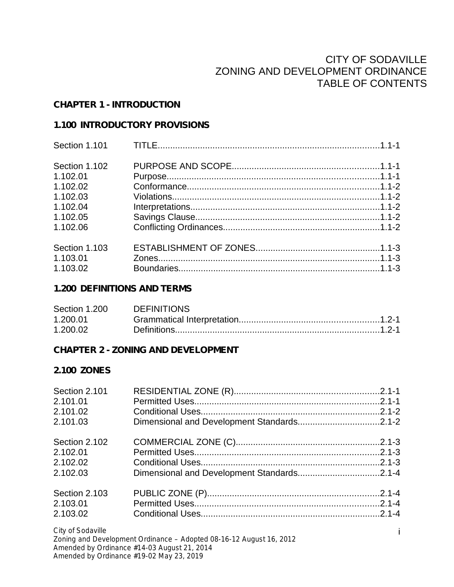### CITY OF SODAVILLE ZONING AND DEVELOPMENT ORDINANCE TABLE OF CONTENTS

#### **CHAPTER 1 - INTRODUCTION**

#### **1.100 INTRODUCTORY PROVISIONS**

| Section 1.102 |  |
|---------------|--|
| 1.102.01      |  |
| 1.102.02      |  |
| 1.102.03      |  |
| 1.102.04      |  |
| 1.102.05      |  |
| 1.102.06      |  |
| Section 1.103 |  |
| 1.103.01      |  |
| 1.103.02      |  |

#### **1.200 DEFINITIONS AND TERMS**

| Section 1.200 | DEFINITIONS |  |
|---------------|-------------|--|
| 1.200.01      |             |  |
| 1.200.02      |             |  |

### **CHAPTER 2 - ZONING AND DEVELOPMENT**

### **2.100 ZONES**

| Section 2.101     |  |
|-------------------|--|
| 2.101.01          |  |
| 2.101.02          |  |
| 2.101.03          |  |
| Section 2.102     |  |
| 2.102.01          |  |
| 2.102.02          |  |
| 2.102.03          |  |
| Section 2.103     |  |
| 2.103.01          |  |
| 2.103.02          |  |
| City of Codeville |  |

*City of Sodaville*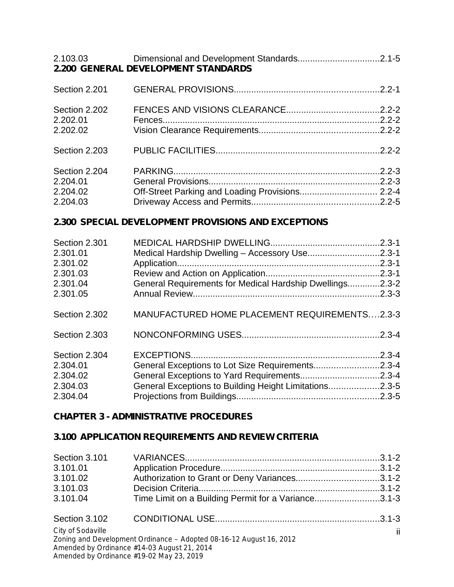| 2.103.03                                          | 2.200 GENERAL DEVELOPMENT STANDARDS             |            |
|---------------------------------------------------|-------------------------------------------------|------------|
| Section 2.201                                     |                                                 |            |
| Section 2.202<br>2.202.01<br>2.202.02             |                                                 |            |
| Section 2.203                                     |                                                 |            |
| Section 2.204<br>2.204.01<br>2.204.02<br>2.204.03 | Off-Street Parking and Loading Provisions 2.2-4 | $.2.2 - 3$ |

### **2.300 SPECIAL DEVELOPMENT PROVISIONS AND EXCEPTIONS**

| Section 2.301 |                                                          |            |
|---------------|----------------------------------------------------------|------------|
| 2.301.01      | Medical Hardship Dwelling - Accessory Use2.3-1           |            |
| 2.301.02      |                                                          |            |
| 2.301.03      |                                                          |            |
| 2.301.04      | General Requirements for Medical Hardship Dwellings2.3-2 |            |
| 2.301.05      |                                                          |            |
| Section 2.302 | MANUFACTURED HOME PLACEMENT REQUIREMENTS2.3-3            |            |
| Section 2.303 |                                                          | $.2.3 - 4$ |
| Section 2.304 |                                                          | $.2.3 - 4$ |
| 2.304.01      |                                                          |            |
| 2.304.02      |                                                          |            |
| 2.304.03      | General Exceptions to Building Height Limitations2.3-5   |            |
| 2.304.04      |                                                          |            |

## **CHAPTER 3 - ADMINISTRATIVE PROCEDURES**

## **3.100 APPLICATION REQUIREMENTS AND REVIEW CRITERIA**

| Section 3.101     |                                                                     |    |
|-------------------|---------------------------------------------------------------------|----|
| 3.101.01          |                                                                     |    |
| 3.101.02          | Authorization to Grant or Deny Variances3.1-2                       |    |
| 3.101.03          |                                                                     |    |
| 3.101.04          | Time Limit on a Building Permit for a Variance3.1-3                 |    |
| Section 3.102     |                                                                     |    |
| City of Sodaville | Zoning and Development Ordinance - Adopted 08-16-12 August 16, 2012 | ii |
|                   | Amended by Ordinance #14-03 August 21, 2014                         |    |
|                   | Amended by Ordinance #19-02 May 23, 2019                            |    |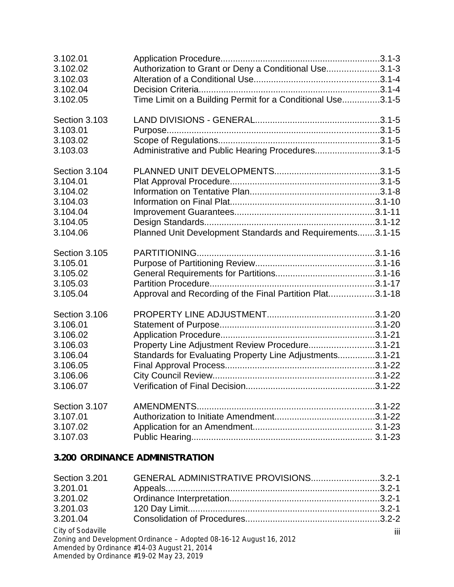| 3.102.01<br>3.102.02<br>3.102.03<br>3.102.04<br>3.102.05                                          | Authorization to Grant or Deny a Conditional Use3.1-3<br>Time Limit on a Building Permit for a Conditional Use3.1-5 |  |
|---------------------------------------------------------------------------------------------------|---------------------------------------------------------------------------------------------------------------------|--|
| Section 3.103<br>3.103.01<br>3.103.02<br>3.103.03                                                 | Administrative and Public Hearing Procedures3.1-5                                                                   |  |
| Section 3.104<br>3.104.01<br>3.104.02<br>3.104.03<br>3.104.04<br>3.104.05<br>3.104.06             | Planned Unit Development Standards and Requirements3.1-15                                                           |  |
| Section 3.105<br>3.105.01<br>3.105.02<br>3.105.03<br>3.105.04                                     | Approval and Recording of the Final Partition Plat3.1-18                                                            |  |
| Section 3.106<br>3.106.01<br>3.106.02<br>3.106.03<br>3.106.04<br>3.106.05<br>3.106.06<br>3.106.07 | Property Line Adjustment Review Procedure3.1-21<br>Standards for Evaluating Property Line Adjustments3.1-21         |  |
| Section 3.107<br>3.107.01<br>3.107.02<br>3.107.03                                                 |                                                                                                                     |  |

# **3.200 ORDINANCE ADMINISTRATION**

| Section 3.201     | GENERAL ADMINISTRATIVE PROVISIONS3.2-1                              |   |
|-------------------|---------------------------------------------------------------------|---|
| 3.201.01          |                                                                     |   |
| 3.201.02          |                                                                     |   |
| 3.201.03          |                                                                     |   |
| 3.201.04          |                                                                     |   |
| City of Sodaville |                                                                     | Ш |
|                   | Zoning and Development Ordinance - Adopted 08-16-12 August 16, 2012 |   |
|                   | Amonded by Ordinance 444,000 Assume CA, 004.4                       |   |

*Amended by Ordinance #14-03 August 21, 2014 Amended by Ordinance #19-02 May 23,2019*